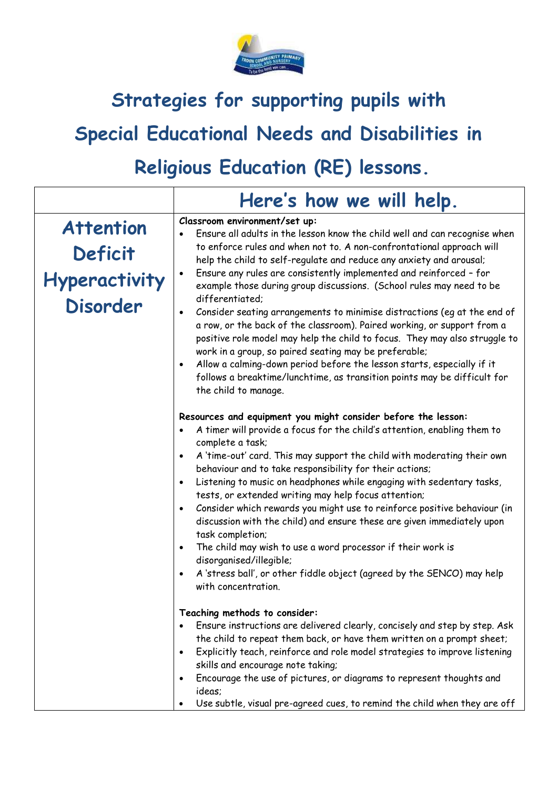

## **Strategies for supporting pupils with Special Educational Needs and Disabilities in Religious Education (RE) lessons.**

|                                                                 | Here's how we will help.                                                                                                                                                                                                                                                                                                                                                                                                                                                                                                                                                                                                                                                                                                                                                                                                                                                                                                                                                                                                                                                                                                                                                                                                                                                                           |
|-----------------------------------------------------------------|----------------------------------------------------------------------------------------------------------------------------------------------------------------------------------------------------------------------------------------------------------------------------------------------------------------------------------------------------------------------------------------------------------------------------------------------------------------------------------------------------------------------------------------------------------------------------------------------------------------------------------------------------------------------------------------------------------------------------------------------------------------------------------------------------------------------------------------------------------------------------------------------------------------------------------------------------------------------------------------------------------------------------------------------------------------------------------------------------------------------------------------------------------------------------------------------------------------------------------------------------------------------------------------------------|
| <b>Attention</b><br>Deficit<br>Hyperactivity<br><b>Disorder</b> | Classroom environment/set up:<br>Ensure all adults in the lesson know the child well and can recognise when<br>to enforce rules and when not to. A non-confrontational approach will<br>help the child to self-regulate and reduce any anxiety and arousal;<br>Ensure any rules are consistently implemented and reinforced - for<br>$\bullet$<br>example those during group discussions. (School rules may need to be<br>differentiated:<br>Consider seating arrangements to minimise distractions (eg at the end of<br>$\bullet$<br>a row, or the back of the classroom). Paired working, or support from a<br>positive role model may help the child to focus. They may also struggle to<br>work in a group, so paired seating may be preferable;<br>Allow a calming-down period before the lesson starts, especially if it<br>$\bullet$<br>follows a breaktime/lunchtime, as transition points may be difficult for<br>the child to manage.                                                                                                                                                                                                                                                                                                                                                    |
|                                                                 | Resources and equipment you might consider before the lesson:<br>A timer will provide a focus for the child's attention, enabling them to<br>complete a task;<br>A 'time-out' card. This may support the child with moderating their own<br>$\bullet$<br>behaviour and to take responsibility for their actions;<br>Listening to music on headphones while engaging with sedentary tasks,<br>$\bullet$<br>tests, or extended writing may help focus attention;<br>Consider which rewards you might use to reinforce positive behaviour (in<br>$\bullet$<br>discussion with the child) and ensure these are given immediately upon<br>task completion;<br>The child may wish to use a word processor if their work is<br>$\bullet$<br>disorganised/illegible;<br>A 'stress ball', or other fiddle object (agreed by the SENCO) may help<br>$\bullet$<br>with concentration.<br>Teaching methods to consider:<br>Ensure instructions are delivered clearly, concisely and step by step. Ask<br>the child to repeat them back, or have them written on a prompt sheet;<br>Explicitly teach, reinforce and role model strategies to improve listening<br>$\bullet$<br>skills and encourage note taking;<br>Encourage the use of pictures, or diagrams to represent thoughts and<br>$\bullet$<br>ideas; |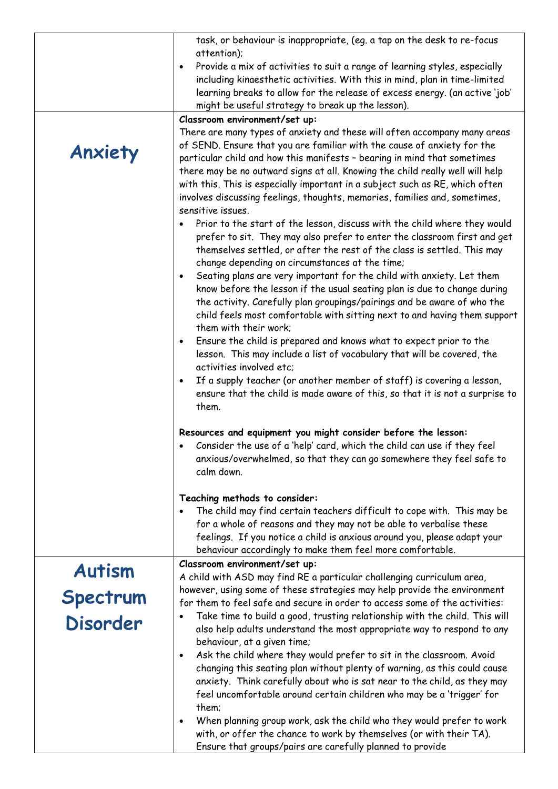|                 | task, or behaviour is inappropriate, (eg. a tap on the desk to re-focus                                                                                   |
|-----------------|-----------------------------------------------------------------------------------------------------------------------------------------------------------|
|                 | attention);                                                                                                                                               |
|                 | Provide a mix of activities to suit a range of learning styles, especially<br>$\bullet$                                                                   |
|                 | including kinaesthetic activities. With this in mind, plan in time-limited<br>learning breaks to allow for the release of excess energy. (an active 'job' |
|                 | might be useful strategy to break up the lesson).                                                                                                         |
|                 | Classroom environment/set up:                                                                                                                             |
|                 | There are many types of anxiety and these will often accompany many areas                                                                                 |
|                 | of SEND. Ensure that you are familiar with the cause of anxiety for the                                                                                   |
| Anxiety         | particular child and how this manifests - bearing in mind that sometimes                                                                                  |
|                 | there may be no outward signs at all. Knowing the child really well will help                                                                             |
|                 | with this. This is especially important in a subject such as RE, which often                                                                              |
|                 | involves discussing feelings, thoughts, memories, families and, sometimes,<br>sensitive issues.                                                           |
|                 | Prior to the start of the lesson, discuss with the child where they would<br>$\bullet$                                                                    |
|                 | prefer to sit. They may also prefer to enter the classroom first and get                                                                                  |
|                 | themselves settled, or after the rest of the class is settled. This may                                                                                   |
|                 | change depending on circumstances at the time;                                                                                                            |
|                 | Seating plans are very important for the child with anxiety. Let them<br>$\bullet$                                                                        |
|                 | know before the lesson if the usual seating plan is due to change during                                                                                  |
|                 | the activity. Carefully plan groupings/pairings and be aware of who the                                                                                   |
|                 | child feels most comfortable with sitting next to and having them support<br>them with their work;                                                        |
|                 | Ensure the child is prepared and knows what to expect prior to the<br>$\bullet$                                                                           |
|                 | lesson. This may include a list of vocabulary that will be covered, the                                                                                   |
|                 | activities involved etc:                                                                                                                                  |
|                 | If a supply teacher (or another member of staff) is covering a lesson,<br>$\bullet$                                                                       |
|                 | ensure that the child is made aware of this, so that it is not a surprise to                                                                              |
|                 | them.                                                                                                                                                     |
|                 | Resources and equipment you might consider before the lesson:                                                                                             |
|                 | Consider the use of a 'help' card, which the child can use if they feel<br>$\bullet$                                                                      |
|                 | anxious/overwhelmed, so that they can go somewhere they feel safe to                                                                                      |
|                 | calm down.                                                                                                                                                |
|                 | Teaching methods to consider:                                                                                                                             |
|                 | The child may find certain teachers difficult to cope with. This may be                                                                                   |
|                 | for a whole of reasons and they may not be able to verbalise these                                                                                        |
|                 | feelings. If you notice a child is anxious around you, please adapt your<br>behaviour accordingly to make them feel more comfortable.                     |
|                 | Classroom environment/set up:                                                                                                                             |
| <b>Autism</b>   | A child with ASD may find RE a particular challenging curriculum area,                                                                                    |
|                 | however, using some of these strategies may help provide the environment                                                                                  |
| Spectrum        | for them to feel safe and secure in order to access some of the activities:                                                                               |
| <b>Disorder</b> | Take time to build a good, trusting relationship with the child. This will                                                                                |
|                 | also help adults understand the most appropriate way to respond to any                                                                                    |
|                 | behaviour, at a given time;<br>Ask the child where they would prefer to sit in the classroom. Avoid<br>$\bullet$                                          |
|                 | changing this seating plan without plenty of warning, as this could cause                                                                                 |
|                 | anxiety. Think carefully about who is sat near to the child, as they may                                                                                  |
|                 | feel uncomfortable around certain children who may be a 'trigger' for                                                                                     |
|                 | them;                                                                                                                                                     |
|                 | When planning group work, ask the child who they would prefer to work<br>$\bullet$                                                                        |
|                 | with, or offer the chance to work by themselves (or with their TA).                                                                                       |
|                 | Ensure that groups/pairs are carefully planned to provide                                                                                                 |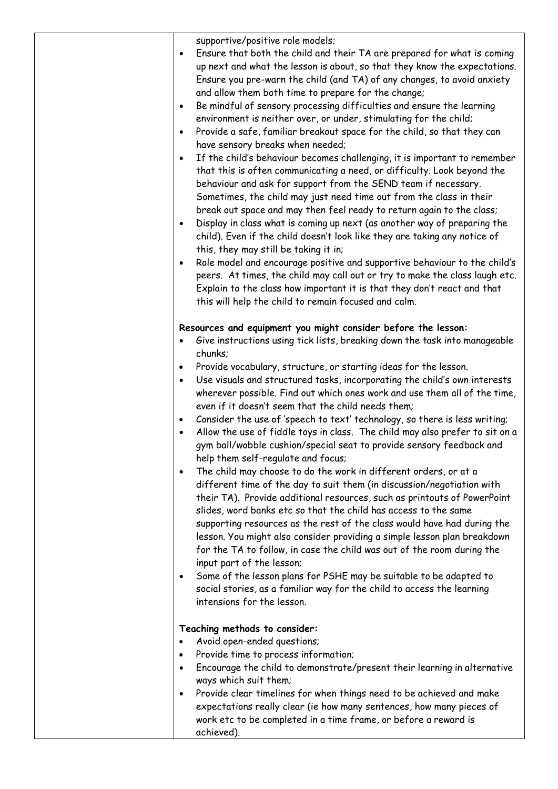| supportive/positive role models; |
|----------------------------------|
|----------------------------------|

| $\bullet$ | Ensure that both the child and their TA are prepared for what is coming   |
|-----------|---------------------------------------------------------------------------|
|           | up next and what the lesson is about, so that they know the expectations. |
|           | Ensure you pre-warn the child (and TA) of any changes, to avoid anxiety   |
|           | and allow them both time to prepare for the change;                       |

- Be mindful of sensory processing difficulties and ensure the learning environment is neither over, or under, stimulating for the child;
- Provide a safe, familiar breakout space for the child, so that they can have sensory breaks when needed;
- If the child's behaviour becomes challenging, it is important to remember that this is often communicating a need, or difficulty. Look beyond the behaviour and ask for support from the SEND team if necessary. Sometimes, the child may just need time out from the class in their break out space and may then feel ready to return again to the class;
- Display in class what is coming up next (as another way of preparing the child). Even if the child doesn't look like they are taking any notice of this, they may still be taking it in;
- Role model and encourage positive and supportive behaviour to the child's peers. At times, the child may call out or try to make the class laugh etc. Explain to the class how important it is that they don't react and that this will help the child to remain focused and calm.

## **Resources and equipment you might consider before the lesson:**

- Give instructions using tick lists, breaking down the task into manageable chunks;
- Provide vocabulary, structure, or starting ideas for the lesson.
- Use visuals and structured tasks, incorporating the child's own interests wherever possible. Find out which ones work and use them all of the time, even if it doesn't seem that the child needs them;
- Consider the use of 'speech to text' technology, so there is less writing;
- Allow the use of fiddle toys in class. The child may also prefer to sit on a gym ball/wobble cushion/special seat to provide sensory feedback and help them self-regulate and focus;
- The child may choose to do the work in different orders, or at a different time of the day to suit them (in discussion/negotiation with their TA). Provide additional resources, such as printouts of PowerPoint slides, word banks etc so that the child has access to the same supporting resources as the rest of the class would have had during the lesson. You might also consider providing a simple lesson plan breakdown for the TA to follow, in case the child was out of the room during the input part of the lesson;
- Some of the lesson plans for PSHE may be suitable to be adapted to social stories, as a familiar way for the child to access the learning intensions for the lesson.

## **Teaching methods to consider:**

- Avoid open-ended questions;
- Provide time to process information;
- Encourage the child to demonstrate/present their learning in alternative ways which suit them;
- Provide clear timelines for when things need to be achieved and make expectations really clear (ie how many sentences, how many pieces of work etc to be completed in a time frame, or before a reward is achieved).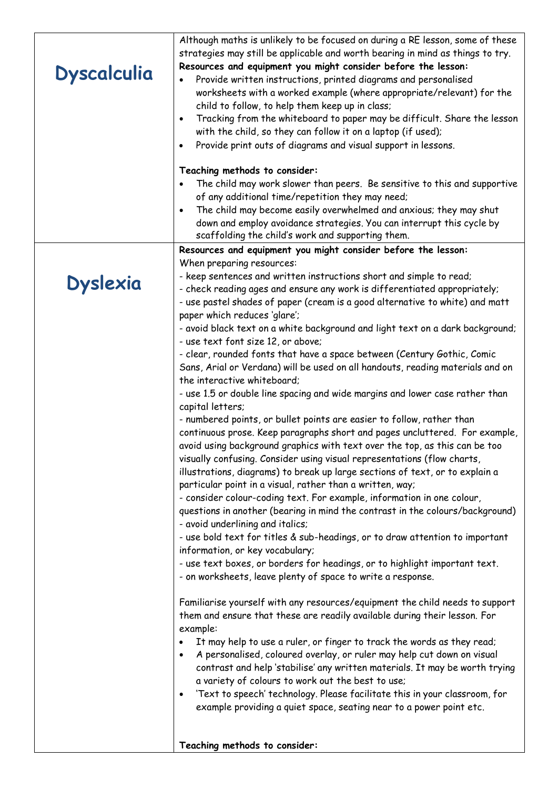| <b>Dyscalculia</b> | Although maths is unlikely to be focused on during a RE lesson, some of these<br>strategies may still be applicable and worth bearing in mind as things to try.<br>Resources and equipment you might consider before the lesson:<br>Provide written instructions, printed diagrams and personalised<br>worksheets with a worked example (where appropriate/relevant) for the<br>child to follow, to help them keep up in class;<br>Tracking from the whiteboard to paper may be difficult. Share the lesson<br>$\bullet$<br>with the child, so they can follow it on a laptop (if used);<br>Provide print outs of diagrams and visual support in lessons.<br>$\bullet$ |
|--------------------|------------------------------------------------------------------------------------------------------------------------------------------------------------------------------------------------------------------------------------------------------------------------------------------------------------------------------------------------------------------------------------------------------------------------------------------------------------------------------------------------------------------------------------------------------------------------------------------------------------------------------------------------------------------------|
|                    | Teaching methods to consider:                                                                                                                                                                                                                                                                                                                                                                                                                                                                                                                                                                                                                                          |
|                    | The child may work slower than peers. Be sensitive to this and supportive                                                                                                                                                                                                                                                                                                                                                                                                                                                                                                                                                                                              |
|                    | of any additional time/repetition they may need;                                                                                                                                                                                                                                                                                                                                                                                                                                                                                                                                                                                                                       |
|                    | The child may become easily overwhelmed and anxious; they may shut                                                                                                                                                                                                                                                                                                                                                                                                                                                                                                                                                                                                     |
|                    | down and employ avoidance strategies. You can interrupt this cycle by<br>scaffolding the child's work and supporting them.                                                                                                                                                                                                                                                                                                                                                                                                                                                                                                                                             |
|                    | Resources and equipment you might consider before the lesson:                                                                                                                                                                                                                                                                                                                                                                                                                                                                                                                                                                                                          |
|                    | When preparing resources:                                                                                                                                                                                                                                                                                                                                                                                                                                                                                                                                                                                                                                              |
|                    | - keep sentences and written instructions short and simple to read;                                                                                                                                                                                                                                                                                                                                                                                                                                                                                                                                                                                                    |
| <b>Dyslexia</b>    | - check reading ages and ensure any work is differentiated appropriately;<br>- use pastel shades of paper (cream is a good alternative to white) and matt                                                                                                                                                                                                                                                                                                                                                                                                                                                                                                              |
|                    | paper which reduces 'glare';                                                                                                                                                                                                                                                                                                                                                                                                                                                                                                                                                                                                                                           |
|                    | - avoid black text on a white background and light text on a dark background;<br>- use text font size 12, or above;                                                                                                                                                                                                                                                                                                                                                                                                                                                                                                                                                    |
|                    | - clear, rounded fonts that have a space between (Century Gothic, Comic                                                                                                                                                                                                                                                                                                                                                                                                                                                                                                                                                                                                |
|                    | Sans, Arial or Verdana) will be used on all handouts, reading materials and on                                                                                                                                                                                                                                                                                                                                                                                                                                                                                                                                                                                         |
|                    | the interactive whiteboard;                                                                                                                                                                                                                                                                                                                                                                                                                                                                                                                                                                                                                                            |
|                    | - use 1.5 or double line spacing and wide margins and lower case rather than                                                                                                                                                                                                                                                                                                                                                                                                                                                                                                                                                                                           |
|                    | capital letters;                                                                                                                                                                                                                                                                                                                                                                                                                                                                                                                                                                                                                                                       |
|                    | - numbered points, or bullet points are easier to follow, rather than<br>continuous prose. Keep paragraphs short and pages uncluttered. For example,<br>avoid using background graphics with text over the top, as this can be too                                                                                                                                                                                                                                                                                                                                                                                                                                     |
|                    | visually confusing. Consider using visual representations (flow charts,<br>illustrations, diagrams) to break up large sections of text, or to explain a<br>particular point in a visual, rather than a written, way;                                                                                                                                                                                                                                                                                                                                                                                                                                                   |
|                    | - consider colour-coding text. For example, information in one colour,                                                                                                                                                                                                                                                                                                                                                                                                                                                                                                                                                                                                 |
|                    | questions in another (bearing in mind the contrast in the colours/background)<br>- avoid underlining and italics;                                                                                                                                                                                                                                                                                                                                                                                                                                                                                                                                                      |
|                    | - use bold text for titles & sub-headings, or to draw attention to important                                                                                                                                                                                                                                                                                                                                                                                                                                                                                                                                                                                           |
|                    | information, or key vocabulary;                                                                                                                                                                                                                                                                                                                                                                                                                                                                                                                                                                                                                                        |
|                    | - use text boxes, or borders for headings, or to highlight important text.<br>- on worksheets, leave plenty of space to write a response.                                                                                                                                                                                                                                                                                                                                                                                                                                                                                                                              |
|                    | Familiarise yourself with any resources/equipment the child needs to support<br>them and ensure that these are readily available during their lesson. For<br>example:                                                                                                                                                                                                                                                                                                                                                                                                                                                                                                  |
|                    | It may help to use a ruler, or finger to track the words as they read;<br>$\bullet$<br>A personalised, coloured overlay, or ruler may help cut down on visual<br>$\bullet$<br>contrast and help 'stabilise' any written materials. It may be worth trying<br>a variety of colours to work out the best to use;                                                                                                                                                                                                                                                                                                                                                         |
|                    | 'Text to speech' technology. Please facilitate this in your classroom, for<br>$\bullet$                                                                                                                                                                                                                                                                                                                                                                                                                                                                                                                                                                                |
|                    | example providing a quiet space, seating near to a power point etc.                                                                                                                                                                                                                                                                                                                                                                                                                                                                                                                                                                                                    |
|                    | Teaching methods to consider:                                                                                                                                                                                                                                                                                                                                                                                                                                                                                                                                                                                                                                          |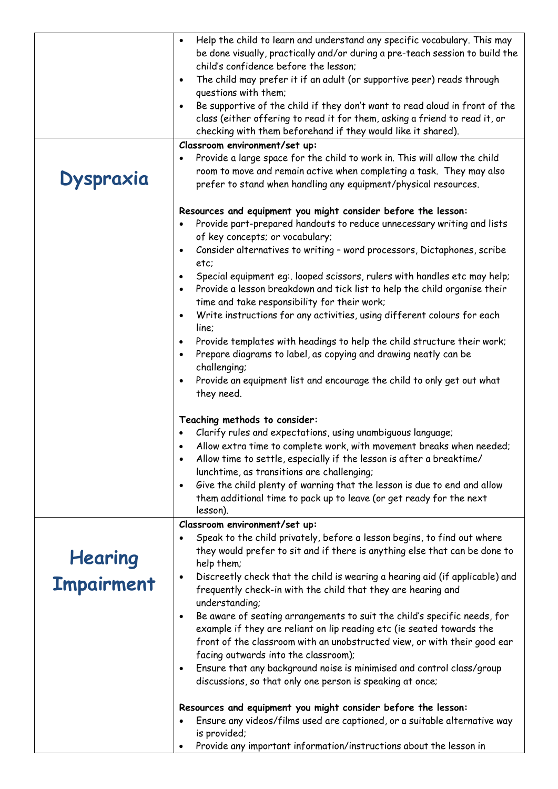|                   | Help the child to learn and understand any specific vocabulary. This may<br>$\bullet$  |
|-------------------|----------------------------------------------------------------------------------------|
|                   | be done visually, practically and/or during a pre-teach session to build the           |
|                   | child's confidence before the lesson;                                                  |
|                   | The child may prefer it if an adult (or supportive peer) reads through<br>$\bullet$    |
|                   | questions with them;                                                                   |
|                   | Be supportive of the child if they don't want to read aloud in front of the            |
|                   | class (either offering to read it for them, asking a friend to read it, or             |
|                   | checking with them beforehand if they would like it shared).                           |
|                   | Classroom environment/set up:                                                          |
|                   | Provide a large space for the child to work in. This will allow the child<br>٠         |
|                   | room to move and remain active when completing a task. They may also                   |
| Dyspraxia         | prefer to stand when handling any equipment/physical resources.                        |
|                   |                                                                                        |
|                   | Resources and equipment you might consider before the lesson:                          |
|                   | Provide part-prepared handouts to reduce unnecessary writing and lists                 |
|                   | of key concepts; or vocabulary;                                                        |
|                   | Consider alternatives to writing - word processors, Dictaphones, scribe<br>$\bullet$   |
|                   | etc;                                                                                   |
|                   | Special equipment eq: looped scissors, rulers with handles etc may help;<br>$\bullet$  |
|                   | Provide a lesson breakdown and tick list to help the child organise their<br>$\bullet$ |
|                   | time and take responsibility for their work;                                           |
|                   | Write instructions for any activities, using different colours for each<br>$\bullet$   |
|                   | line;                                                                                  |
|                   | Provide templates with headings to help the child structure their work;<br>$\bullet$   |
|                   | Prepare diagrams to label, as copying and drawing neatly can be<br>$\bullet$           |
|                   | challenging;                                                                           |
|                   | Provide an equipment list and encourage the child to only get out what                 |
|                   | they need.                                                                             |
|                   |                                                                                        |
|                   | Teaching methods to consider:                                                          |
|                   | Clarify rules and expectations, using unambiguous language;                            |
|                   | Allow extra time to complete work, with movement breaks when needed;                   |
|                   | Allow time to settle, especially if the lesson is after a breaktime/                   |
|                   | lunchtime, as transitions are challenging;                                             |
|                   | Give the child plenty of warning that the lesson is due to end and allow<br>$\bullet$  |
|                   | them additional time to pack up to leave (or get ready for the next                    |
|                   | lesson).                                                                               |
|                   | Classroom environment/set up:                                                          |
|                   | Speak to the child privately, before a lesson begins, to find out where                |
|                   | they would prefer to sit and if there is anything else that can be done to             |
| <b>Hearing</b>    | help them;                                                                             |
|                   | Discreetly check that the child is wearing a hearing aid (if applicable) and           |
| <b>Impairment</b> | frequently check-in with the child that they are hearing and                           |
|                   | understanding;                                                                         |
|                   | Be aware of seating arrangements to suit the child's specific needs, for<br>$\bullet$  |
|                   | example if they are reliant on lip reading etc (ie seated towards the                  |
|                   | front of the classroom with an unobstructed view, or with their good ear               |
|                   | facing outwards into the classroom);                                                   |
|                   | Ensure that any background noise is minimised and control class/group                  |
|                   | ٠<br>discussions, so that only one person is speaking at once;                         |
|                   |                                                                                        |
|                   | Resources and equipment you might consider before the lesson:                          |
|                   | Ensure any videos/films used are captioned, or a suitable alternative way              |
|                   | is provided;                                                                           |
|                   | Provide any important information/instructions about the lesson in                     |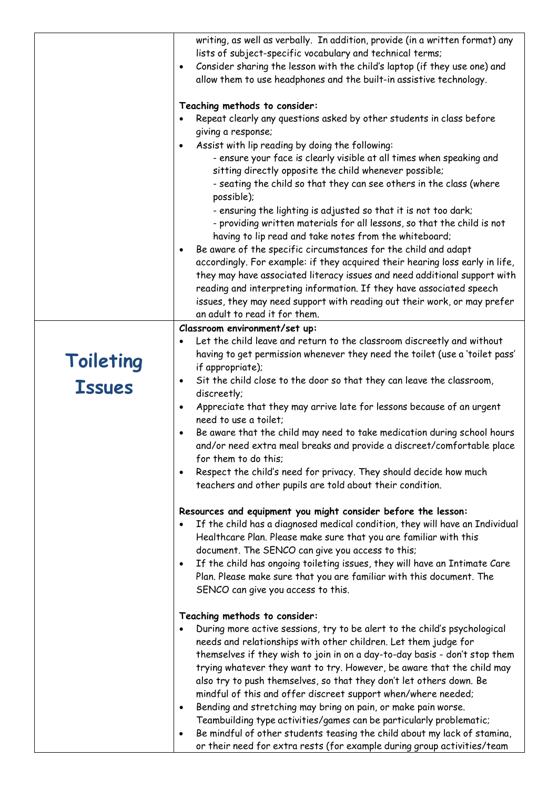|                            | writing, as well as verbally. In addition, provide (in a written format) any<br>lists of subject-specific vocabulary and technical terms;<br>Consider sharing the lesson with the child's laptop (if they use one) and<br>$\bullet$<br>allow them to use headphones and the built-in assistive technology.<br>Teaching methods to consider:<br>Repeat clearly any questions asked by other students in class before<br>$\bullet$<br>giving a response;<br>Assist with lip reading by doing the following:<br>$\bullet$<br>- ensure your face is clearly visible at all times when speaking and<br>sitting directly opposite the child whenever possible;<br>- seating the child so that they can see others in the class (where<br>possible);<br>- ensuring the lighting is adjusted so that it is not too dark;<br>- providing written materials for all lessons, so that the child is not<br>having to lip read and take notes from the whiteboard;<br>Be aware of the specific circumstances for the child and adapt<br>$\bullet$<br>accordingly. For example: if they acquired their hearing loss early in life,<br>they may have associated literacy issues and need additional support with<br>reading and interpreting information. If they have associated speech<br>issues, they may need support with reading out their work, or may prefer<br>an adult to read it for them. |
|----------------------------|----------------------------------------------------------------------------------------------------------------------------------------------------------------------------------------------------------------------------------------------------------------------------------------------------------------------------------------------------------------------------------------------------------------------------------------------------------------------------------------------------------------------------------------------------------------------------------------------------------------------------------------------------------------------------------------------------------------------------------------------------------------------------------------------------------------------------------------------------------------------------------------------------------------------------------------------------------------------------------------------------------------------------------------------------------------------------------------------------------------------------------------------------------------------------------------------------------------------------------------------------------------------------------------------------------------------------------------------------------------------------------------|
|                            | Classroom environment/set up:                                                                                                                                                                                                                                                                                                                                                                                                                                                                                                                                                                                                                                                                                                                                                                                                                                                                                                                                                                                                                                                                                                                                                                                                                                                                                                                                                          |
| Toileting<br><b>Issues</b> | Let the child leave and return to the classroom discreetly and without<br>having to get permission whenever they need the toilet (use a 'toilet pass'<br>if appropriate);<br>Sit the child close to the door so that they can leave the classroom,<br>$\bullet$<br>discreetly;<br>Appreciate that they may arrive late for lessons because of an urgent<br>$\bullet$<br>need to use a toilet;<br>Be aware that the child may need to take medication during school hours<br>$\bullet$<br>and/or need extra meal breaks and provide a discreet/comfortable place<br>for them to do this;<br>Respect the child's need for privacy. They should decide how much<br>$\bullet$<br>teachers and other pupils are told about their condition.<br>Resources and equipment you might consider before the lesson:<br>If the child has a diagnosed medical condition, they will have an Individual<br>$\bullet$<br>Healthcare Plan. Please make sure that you are familiar with this<br>document. The SENCO can give you access to this;                                                                                                                                                                                                                                                                                                                                                          |
|                            | If the child has ongoing toileting issues, they will have an Intimate Care<br>$\bullet$<br>Plan. Please make sure that you are familiar with this document. The<br>SENCO can give you access to this.                                                                                                                                                                                                                                                                                                                                                                                                                                                                                                                                                                                                                                                                                                                                                                                                                                                                                                                                                                                                                                                                                                                                                                                  |
|                            | Teaching methods to consider:<br>During more active sessions, try to be alert to the child's psychological<br>$\bullet$<br>needs and relationships with other children. Let them judge for<br>themselves if they wish to join in on a day-to-day basis - don't stop them<br>trying whatever they want to try. However, be aware that the child may<br>also try to push themselves, so that they don't let others down. Be<br>mindful of this and offer discreet support when/where needed;<br>Bending and stretching may bring on pain, or make pain worse.<br>$\bullet$<br>Teambuilding type activities/games can be particularly problematic;<br>Be mindful of other students teasing the child about my lack of stamina,<br>$\bullet$<br>or their need for extra rests (for example during group activities/team                                                                                                                                                                                                                                                                                                                                                                                                                                                                                                                                                                    |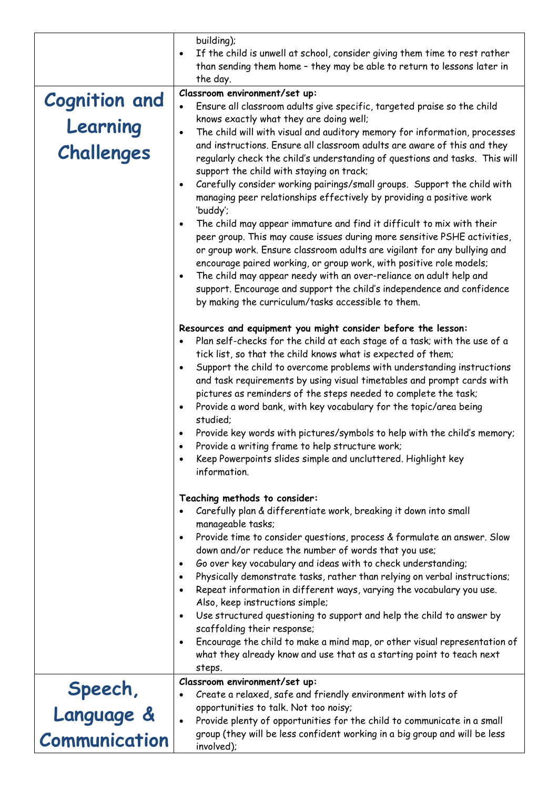|                                                | building);<br>If the child is unwell at school, consider giving them time to rest rather<br>$\bullet$<br>than sending them home - they may be able to return to lessons later in<br>the day.                                                                                                                                                                                                                                                                                                                                                                                                                                                                                                                                                                                                                                                                                                                            |
|------------------------------------------------|-------------------------------------------------------------------------------------------------------------------------------------------------------------------------------------------------------------------------------------------------------------------------------------------------------------------------------------------------------------------------------------------------------------------------------------------------------------------------------------------------------------------------------------------------------------------------------------------------------------------------------------------------------------------------------------------------------------------------------------------------------------------------------------------------------------------------------------------------------------------------------------------------------------------------|
| <b>Cognition and</b><br>Learning<br>Challenges | Classroom environment/set up:<br>Ensure all classroom adults give specific, targeted praise so the child<br>knows exactly what they are doing well;<br>The child will with visual and auditory memory for information, processes<br>$\bullet$<br>and instructions. Ensure all classroom adults are aware of this and they<br>regularly check the child's understanding of questions and tasks. This will<br>support the child with staying on track;                                                                                                                                                                                                                                                                                                                                                                                                                                                                    |
|                                                | Carefully consider working pairings/small groups. Support the child with<br>$\bullet$<br>managing peer relationships effectively by providing a positive work<br>'buddy';<br>The child may appear immature and find it difficult to mix with their<br>$\bullet$<br>peer group. This may cause issues during more sensitive PSHE activities,<br>or group work. Ensure classroom adults are vigilant for any bullying and<br>encourage paired working, or group work, with positive role models;<br>The child may appear needy with an over-reliance on adult help and<br>$\bullet$<br>support. Encourage and support the child's independence and confidence<br>by making the curriculum/tasks accessible to them.                                                                                                                                                                                                       |
|                                                | Resources and equipment you might consider before the lesson:<br>Plan self-checks for the child at each stage of a task; with the use of a<br>$\bullet$<br>tick list, so that the child knows what is expected of them;<br>Support the child to overcome problems with understanding instructions<br>$\bullet$<br>and task requirements by using visual timetables and prompt cards with<br>pictures as reminders of the steps needed to complete the task;<br>Provide a word bank, with key vocabulary for the topic/area being<br>$\bullet$<br>studied;<br>Provide key words with pictures/symbols to help with the child's memory;<br>Provide a writing frame to help structure work;<br>Keep Powerpoints slides simple and uncluttered. Highlight key<br>information.                                                                                                                                               |
|                                                | Teaching methods to consider:<br>Carefully plan & differentiate work, breaking it down into small<br>$\bullet$<br>manageable tasks;<br>Provide time to consider questions, process & formulate an answer. Slow<br>$\bullet$<br>down and/or reduce the number of words that you use;<br>Go over key vocabulary and ideas with to check understanding;<br>$\bullet$<br>Physically demonstrate tasks, rather than relying on verbal instructions;<br>$\bullet$<br>Repeat information in different ways, varying the vocabulary you use.<br>$\bullet$<br>Also, keep instructions simple;<br>Use structured questioning to support and help the child to answer by<br>$\bullet$<br>scaffolding their response;<br>Encourage the child to make a mind map, or other visual representation of<br>$\bullet$<br>what they already know and use that as a starting point to teach next<br>steps.<br>Classroom environment/set up: |
| Speech,<br>Language &                          | Create a relaxed, safe and friendly environment with lots of<br>opportunities to talk. Not too noisy;                                                                                                                                                                                                                                                                                                                                                                                                                                                                                                                                                                                                                                                                                                                                                                                                                   |
| Communication                                  | Provide plenty of opportunities for the child to communicate in a small<br>$\bullet$<br>group (they will be less confident working in a big group and will be less<br>involved);                                                                                                                                                                                                                                                                                                                                                                                                                                                                                                                                                                                                                                                                                                                                        |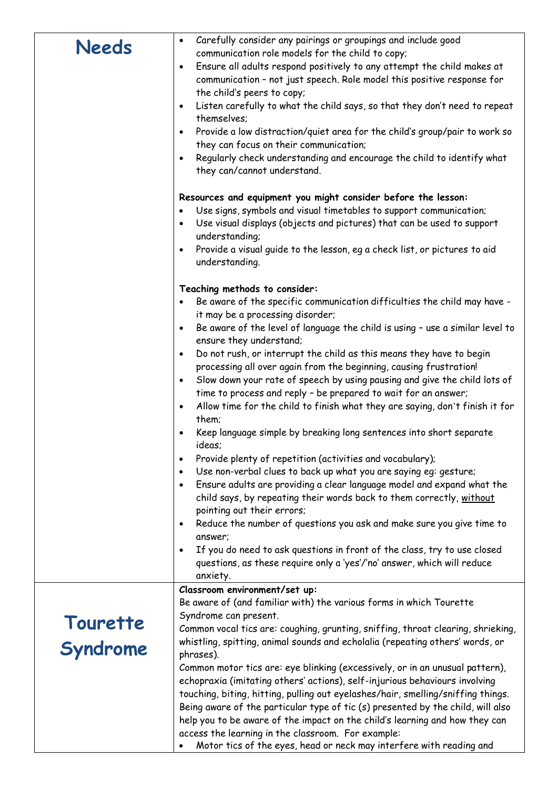| <b>Needs</b>         | Carefully consider any pairings or groupings and include good<br>$\bullet$<br>communication role models for the child to copy;<br>Ensure all adults respond positively to any attempt the child makes at<br>$\bullet$<br>communication - not just speech. Role model this positive response for<br>the child's peers to copy;<br>Listen carefully to what the child says, so that they don't need to repeat<br>$\bullet$<br>themselves;<br>Provide a low distraction/quiet area for the child's group/pair to work so<br>$\bullet$<br>they can focus on their communication;<br>Regularly check understanding and encourage the child to identify what<br>$\bullet$<br>they can/cannot understand. |
|----------------------|----------------------------------------------------------------------------------------------------------------------------------------------------------------------------------------------------------------------------------------------------------------------------------------------------------------------------------------------------------------------------------------------------------------------------------------------------------------------------------------------------------------------------------------------------------------------------------------------------------------------------------------------------------------------------------------------------|
|                      | Resources and equipment you might consider before the lesson:                                                                                                                                                                                                                                                                                                                                                                                                                                                                                                                                                                                                                                      |
|                      | Use signs, symbols and visual timetables to support communication;                                                                                                                                                                                                                                                                                                                                                                                                                                                                                                                                                                                                                                 |
|                      | $\bullet$<br>Use visual displays (objects and pictures) that can be used to support<br>$\bullet$                                                                                                                                                                                                                                                                                                                                                                                                                                                                                                                                                                                                   |
|                      | understanding;                                                                                                                                                                                                                                                                                                                                                                                                                                                                                                                                                                                                                                                                                     |
|                      | Provide a visual guide to the lesson, eg a check list, or pictures to aid<br>$\bullet$<br>understanding.                                                                                                                                                                                                                                                                                                                                                                                                                                                                                                                                                                                           |
|                      | Teaching methods to consider:                                                                                                                                                                                                                                                                                                                                                                                                                                                                                                                                                                                                                                                                      |
|                      | Be aware of the specific communication difficulties the child may have -                                                                                                                                                                                                                                                                                                                                                                                                                                                                                                                                                                                                                           |
|                      | it may be a processing disorder;                                                                                                                                                                                                                                                                                                                                                                                                                                                                                                                                                                                                                                                                   |
|                      | Be aware of the level of language the child is using - use a similar level to<br>$\bullet$                                                                                                                                                                                                                                                                                                                                                                                                                                                                                                                                                                                                         |
|                      | ensure they understand;<br>Do not rush, or interrupt the child as this means they have to begin<br>$\bullet$                                                                                                                                                                                                                                                                                                                                                                                                                                                                                                                                                                                       |
|                      | processing all over again from the beginning, causing frustration!                                                                                                                                                                                                                                                                                                                                                                                                                                                                                                                                                                                                                                 |
|                      | Slow down your rate of speech by using pausing and give the child lots of<br>$\bullet$                                                                                                                                                                                                                                                                                                                                                                                                                                                                                                                                                                                                             |
|                      | time to process and reply - be prepared to wait for an answer;                                                                                                                                                                                                                                                                                                                                                                                                                                                                                                                                                                                                                                     |
|                      | Allow time for the child to finish what they are saying, don't finish it for<br>$\bullet$                                                                                                                                                                                                                                                                                                                                                                                                                                                                                                                                                                                                          |
|                      | them;                                                                                                                                                                                                                                                                                                                                                                                                                                                                                                                                                                                                                                                                                              |
|                      | Keep language simple by breaking long sentences into short separate<br>$\bullet$<br>ideas;                                                                                                                                                                                                                                                                                                                                                                                                                                                                                                                                                                                                         |
|                      | Provide plenty of repetition (activities and vocabulary);<br>$\bullet$                                                                                                                                                                                                                                                                                                                                                                                                                                                                                                                                                                                                                             |
|                      | Use non-verbal clues to back up what you are saying eg: gesture;<br>$\bullet$                                                                                                                                                                                                                                                                                                                                                                                                                                                                                                                                                                                                                      |
|                      | Ensure adults are providing a clear language model and expand what the<br>$\bullet$<br>child says, by repeating their words back to them correctly, without                                                                                                                                                                                                                                                                                                                                                                                                                                                                                                                                        |
|                      | pointing out their errors;                                                                                                                                                                                                                                                                                                                                                                                                                                                                                                                                                                                                                                                                         |
|                      | Reduce the number of questions you ask and make sure you give time to<br>$\bullet$                                                                                                                                                                                                                                                                                                                                                                                                                                                                                                                                                                                                                 |
|                      | answer;<br>If you do need to ask questions in front of the class, try to use closed                                                                                                                                                                                                                                                                                                                                                                                                                                                                                                                                                                                                                |
|                      | $\bullet$<br>questions, as these require only a 'yes'/'no' answer, which will reduce                                                                                                                                                                                                                                                                                                                                                                                                                                                                                                                                                                                                               |
|                      | anxiety.                                                                                                                                                                                                                                                                                                                                                                                                                                                                                                                                                                                                                                                                                           |
|                      | Classroom environment/set up:                                                                                                                                                                                                                                                                                                                                                                                                                                                                                                                                                                                                                                                                      |
|                      | Be aware of (and familiar with) the various forms in which Tourette                                                                                                                                                                                                                                                                                                                                                                                                                                                                                                                                                                                                                                |
|                      | Syndrome can present.                                                                                                                                                                                                                                                                                                                                                                                                                                                                                                                                                                                                                                                                              |
| Tourette<br>Syndrome | Common vocal tics are: coughing, grunting, sniffing, throat clearing, shrieking,                                                                                                                                                                                                                                                                                                                                                                                                                                                                                                                                                                                                                   |
|                      | whistling, spitting, animal sounds and echolalia (repeating others' words, or                                                                                                                                                                                                                                                                                                                                                                                                                                                                                                                                                                                                                      |
|                      | phrases).                                                                                                                                                                                                                                                                                                                                                                                                                                                                                                                                                                                                                                                                                          |
|                      | Common motor tics are: eye blinking (excessively, or in an unusual pattern),                                                                                                                                                                                                                                                                                                                                                                                                                                                                                                                                                                                                                       |
|                      | echopraxia (imitating others' actions), self-injurious behaviours involving                                                                                                                                                                                                                                                                                                                                                                                                                                                                                                                                                                                                                        |
|                      | touching, biting, hitting, pulling out eyelashes/hair, smelling/sniffing things.                                                                                                                                                                                                                                                                                                                                                                                                                                                                                                                                                                                                                   |
|                      | Being aware of the particular type of tic (s) presented by the child, will also                                                                                                                                                                                                                                                                                                                                                                                                                                                                                                                                                                                                                    |
|                      | help you to be aware of the impact on the child's learning and how they can                                                                                                                                                                                                                                                                                                                                                                                                                                                                                                                                                                                                                        |
|                      | access the learning in the classroom. For example:<br>Motor tics of the eyes, head or neck may interfere with reading and                                                                                                                                                                                                                                                                                                                                                                                                                                                                                                                                                                          |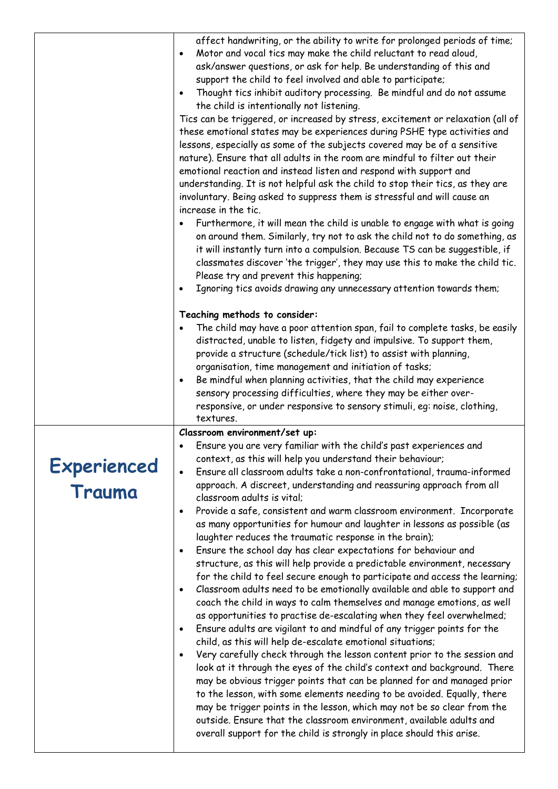|                              | affect handwriting, or the ability to write for prolonged periods of time;<br>Motor and vocal tics may make the child reluctant to read aloud,<br>$\bullet$<br>ask/answer questions, or ask for help. Be understanding of this and<br>support the child to feel involved and able to participate;<br>Thought tics inhibit auditory processing. Be mindful and do not assume<br>$\bullet$<br>the child is intentionally not listening.<br>Tics can be triggered, or increased by stress, excitement or relaxation (all of<br>these emotional states may be experiences during PSHE type activities and<br>lessons, especially as some of the subjects covered may be of a sensitive<br>nature). Ensure that all adults in the room are mindful to filter out their<br>emotional reaction and instead listen and respond with support and<br>understanding. It is not helpful ask the child to stop their tics, as they are<br>involuntary. Being asked to suppress them is stressful and will cause an<br>increase in the tic.<br>Furthermore, it will mean the child is unable to engage with what is going<br>on around them. Similarly, try not to ask the child not to do something, as<br>it will instantly turn into a compulsion. Because TS can be suggestible, if<br>classmates discover 'the trigger', they may use this to make the child tic.<br>Please try and prevent this happening;<br>Ignoring tics avoids drawing any unnecessary attention towards them;<br>$\bullet$<br>Teaching methods to consider:<br>The child may have a poor attention span, fail to complete tasks, be easily<br>distracted, unable to listen, fidgety and impulsive. To support them,<br>provide a structure (schedule/tick list) to assist with planning,<br>organisation, time management and initiation of tasks;<br>Be mindful when planning activities, that the child may experience<br>$\bullet$<br>sensory processing difficulties, where they may be either over-<br>responsive, or under responsive to sensory stimuli, eg: noise, clothing, |
|------------------------------|---------------------------------------------------------------------------------------------------------------------------------------------------------------------------------------------------------------------------------------------------------------------------------------------------------------------------------------------------------------------------------------------------------------------------------------------------------------------------------------------------------------------------------------------------------------------------------------------------------------------------------------------------------------------------------------------------------------------------------------------------------------------------------------------------------------------------------------------------------------------------------------------------------------------------------------------------------------------------------------------------------------------------------------------------------------------------------------------------------------------------------------------------------------------------------------------------------------------------------------------------------------------------------------------------------------------------------------------------------------------------------------------------------------------------------------------------------------------------------------------------------------------------------------------------------------------------------------------------------------------------------------------------------------------------------------------------------------------------------------------------------------------------------------------------------------------------------------------------------------------------------------------------------------------------------------------------------------------------------------------------------------------------------------------------|
| <b>Experienced</b><br>Trauma | textures.<br>Classroom environment/set up:<br>Ensure you are very familiar with the child's past experiences and<br>context, as this will help you understand their behaviour;<br>Ensure all classroom adults take a non-confrontational, trauma-informed<br>$\bullet$<br>approach. A discreet, understanding and reassuring approach from all<br>classroom adults is vital;<br>Provide a safe, consistent and warm classroom environment. Incorporate<br>٠<br>as many opportunities for humour and laughter in lessons as possible (as<br>laughter reduces the traumatic response in the brain);<br>Ensure the school day has clear expectations for behaviour and<br>$\bullet$<br>structure, as this will help provide a predictable environment, necessary<br>for the child to feel secure enough to participate and access the learning;<br>Classroom adults need to be emotionally available and able to support and<br>$\bullet$<br>coach the child in ways to calm themselves and manage emotions, as well<br>as opportunities to practise de-escalating when they feel overwhelmed;<br>Ensure adults are vigilant to and mindful of any trigger points for the<br>$\bullet$<br>child, as this will help de-escalate emotional situations;<br>Very carefully check through the lesson content prior to the session and<br>$\bullet$<br>look at it through the eyes of the child's context and background. There<br>may be obvious trigger points that can be planned for and managed prior<br>to the lesson, with some elements needing to be avoided. Equally, there<br>may be trigger points in the lesson, which may not be so clear from the<br>outside. Ensure that the classroom environment, available adults and<br>overall support for the child is strongly in place should this arise.                                                                                                                                                                                                                                          |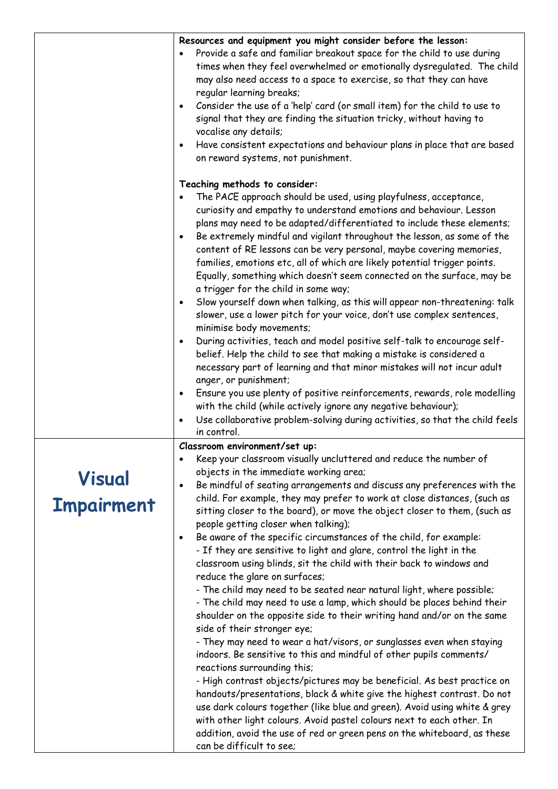|                                    | Resources and equipment you might consider before the lesson:<br>Provide a safe and familiar breakout space for the child to use during<br>times when they feel overwhelmed or emotionally dysregulated. The child<br>may also need access to a space to exercise, so that they can have<br>regular learning breaks;<br>Consider the use of a 'help' card (or small item) for the child to use to<br>$\bullet$<br>signal that they are finding the situation tricky, without having to<br>vocalise any details;<br>Have consistent expectations and behaviour plans in place that are based<br>$\bullet$<br>on reward systems, not punishment.                                                                                                                                                                                                                                                                                                                                                                                                                                                                                                                                                                                                    |
|------------------------------------|---------------------------------------------------------------------------------------------------------------------------------------------------------------------------------------------------------------------------------------------------------------------------------------------------------------------------------------------------------------------------------------------------------------------------------------------------------------------------------------------------------------------------------------------------------------------------------------------------------------------------------------------------------------------------------------------------------------------------------------------------------------------------------------------------------------------------------------------------------------------------------------------------------------------------------------------------------------------------------------------------------------------------------------------------------------------------------------------------------------------------------------------------------------------------------------------------------------------------------------------------|
|                                    | Teaching methods to consider:<br>The PACE approach should be used, using playfulness, acceptance,<br>curiosity and empathy to understand emotions and behaviour. Lesson<br>plans may need to be adapted/differentiated to include these elements;<br>Be extremely mindful and vigilant throughout the lesson, as some of the<br>$\bullet$<br>content of RE lessons can be very personal, maybe covering memories,<br>families, emotions etc, all of which are likely potential trigger points.<br>Equally, something which doesn't seem connected on the surface, may be<br>a trigger for the child in some way;<br>Slow yourself down when talking, as this will appear non-threatening: talk<br>$\bullet$<br>slower, use a lower pitch for your voice, don't use complex sentences,<br>minimise body movements;<br>During activities, teach and model positive self-talk to encourage self-<br>$\bullet$<br>belief. Help the child to see that making a mistake is considered a<br>necessary part of learning and that minor mistakes will not incur adult<br>anger, or punishment;<br>Ensure you use plenty of positive reinforcements, rewards, role modelling<br>$\bullet$<br>with the child (while actively ignore any negative behaviour); |
|                                    | Use collaborative problem-solving during activities, so that the child feels<br>$\bullet$<br>in control.                                                                                                                                                                                                                                                                                                                                                                                                                                                                                                                                                                                                                                                                                                                                                                                                                                                                                                                                                                                                                                                                                                                                          |
| <b>Visual</b><br><b>Impairment</b> | Classroom environment/set up:<br>Keep your classroom visually uncluttered and reduce the number of<br>٠<br>objects in the immediate working area;<br>Be mindful of seating arrangements and discuss any preferences with the<br>٠<br>child. For example, they may prefer to work at close distances, (such as<br>sitting closer to the board), or move the object closer to them, (such as<br>people getting closer when talking);<br>Be aware of the specific circumstances of the child, for example:<br>$\bullet$<br>- If they are sensitive to light and glare, control the light in the                                                                                                                                                                                                                                                                                                                                                                                                                                                                                                                                                                                                                                                      |
|                                    | classroom using blinds, sit the child with their back to windows and<br>reduce the glare on surfaces;<br>- The child may need to be seated near natural light, where possible;<br>- The child may need to use a lamp, which should be places behind their<br>shoulder on the opposite side to their writing hand and/or on the same<br>side of their stronger eye;<br>- They may need to wear a hat/visors, or sunglasses even when staying<br>indoors. Be sensitive to this and mindful of other pupils comments/<br>reactions surrounding this;<br>- High contrast objects/pictures may be beneficial. As best practice on<br>handouts/presentations, black & white give the highest contrast. Do not<br>use dark colours together (like blue and green). Avoid using white & grey<br>with other light colours. Avoid pastel colours next to each other. In<br>addition, avoid the use of red or green pens on the whiteboard, as these<br>can be difficult to see;                                                                                                                                                                                                                                                                             |